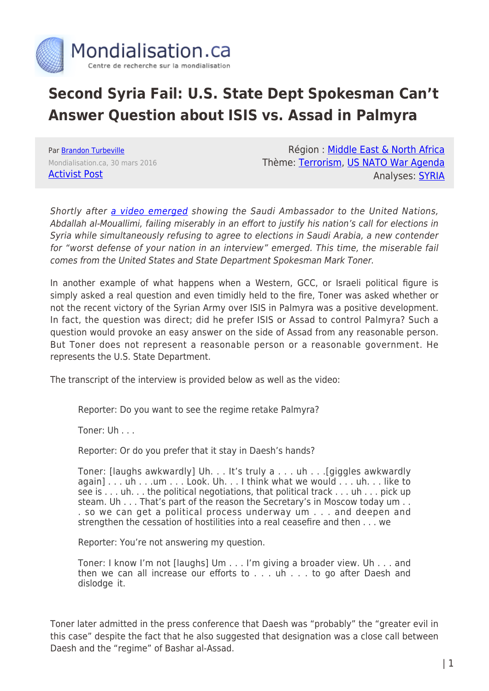

## **Second Syria Fail: U.S. State Dept Spokesman Can't Answer Question about ISIS vs. Assad in Palmyra**

Par [Brandon Turbeville](https://www.mondialisation.ca/author/brandon-turbeville) Mondialisation.ca, 30 mars 2016 [Activist Post](http://www.activistpost.com/2016/03/state-dept-spokesman-cant-answer-question-about-isis-vs-assad-syria.html)

Région : [Middle East & North Africa](https://www.mondialisation.ca/region/middle-east) Thème: [Terrorism](https://www.mondialisation.ca/theme/9-11-war-on-terrorism), [US NATO War Agenda](https://www.mondialisation.ca/theme/us-nato-war-agenda) Analyses: [SYRIA](https://www.mondialisation.ca/indepthreport/syria-nato-s-next-war)

Shortly after [a video emerged](https://www.youtube.com/watch?v=OEHoRERHI8o) showing the Saudi Ambassador to the United Nations, Abdallah al-Mouallimi, failing miserably in an effort to justify his nation's call for elections in Syria while simultaneously refusing to agree to elections in Saudi Arabia, a new contender for "worst defense of your nation in an interview" emerged. This time, the miserable fail comes from the United States and State Department Spokesman Mark Toner.

In another example of what happens when a Western, GCC, or Israeli political figure is simply asked a real question and even timidly held to the fire, Toner was asked whether or not the recent victory of the Syrian Army over ISIS in Palmyra was a positive development. In fact, the question was direct; did he prefer ISIS or Assad to control Palmyra? Such a question would provoke an easy answer on the side of Assad from any reasonable person. But Toner does not represent a reasonable person or a reasonable government. He represents the U.S. State Department.

The transcript of the interview is provided below as well as the video:

Reporter: Do you want to see the regime retake Palmyra?

Toner: Uh . . .

Reporter: Or do you prefer that it stay in Daesh's hands?

Toner: [laughs awkwardly] Uh. . . It's truly a . . . uh . . .[giggles awkwardly again] . . . uh . . .um . . . Look. Uh. . . I think what we would . . . uh. . . like to see is . . . uh. . . the political negotiations, that political track . . . uh . . . pick up steam. Uh . . . That's part of the reason the Secretary's in Moscow today um . . . so we can get a political process underway um . . . and deepen and strengthen the cessation of hostilities into a real ceasefire and then . . . we

Reporter: You're not answering my question.

Toner: I know I'm not [laughs] Um . . . I'm giving a broader view. Uh . . . and then we can all increase our efforts to . . . uh . . . to go after Daesh and dislodge it.

Toner later admitted in the press conference that Daesh was "probably" the "greater evil in this case" despite the fact that he also suggested that designation was a close call between Daesh and the "regime" of Bashar al-Assad.